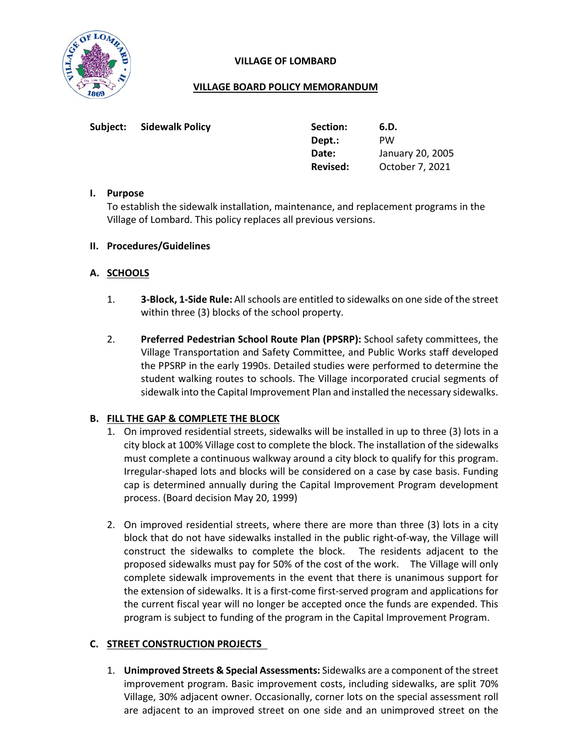

## **VILLAGE OF LOMBARD**

## **VILLAGE BOARD POLICY MEMORANDUM**

| Subject: | <b>Sidewalk Policy</b> | Section: | 6.D.             |
|----------|------------------------|----------|------------------|
|          |                        | Dept.:   | <b>PW</b>        |
|          |                        | Date:    | January 20, 2005 |
|          |                        | Revised: | October 7, 2021  |

## **I. Purpose**

To establish the sidewalk installation, maintenance, and replacement programs in the Village of Lombard. This policy replaces all previous versions.

## **II. Procedures/Guidelines**

## **A. SCHOOLS**

- 1. **3-Block, 1-Side Rule:** All schools are entitled to sidewalks on one side of the street within three (3) blocks of the school property.
- 2. **Preferred Pedestrian School Route Plan (PPSRP):** School safety committees, the Village Transportation and Safety Committee, and Public Works staff developed the PPSRP in the early 1990s. Detailed studies were performed to determine the student walking routes to schools. The Village incorporated crucial segments of sidewalk into the Capital Improvement Plan and installed the necessary sidewalks.

## **B. FILL THE GAP & COMPLETE THE BLOCK**

- 1. On improved residential streets, sidewalks will be installed in up to three (3) lots in a city block at 100% Village cost to complete the block. The installation of the sidewalks must complete a continuous walkway around a city block to qualify for this program. Irregular-shaped lots and blocks will be considered on a case by case basis. Funding cap is determined annually during the Capital Improvement Program development process. (Board decision May 20, 1999)
- 2. On improved residential streets, where there are more than three (3) lots in a city block that do not have sidewalks installed in the public right-of-way, the Village will construct the sidewalks to complete the block. The residents adjacent to the proposed sidewalks must pay for 50% of the cost of the work. The Village will only complete sidewalk improvements in the event that there is unanimous support for the extension of sidewalks. It is a first-come first-served program and applications for the current fiscal year will no longer be accepted once the funds are expended. This program is subject to funding of the program in the Capital Improvement Program.

# **C. STREET CONSTRUCTION PROJECTS**

1. **Unimproved Streets & Special Assessments:** Sidewalks are a component of the street improvement program. Basic improvement costs, including sidewalks, are split 70% Village, 30% adjacent owner. Occasionally, corner lots on the special assessment roll are adjacent to an improved street on one side and an unimproved street on the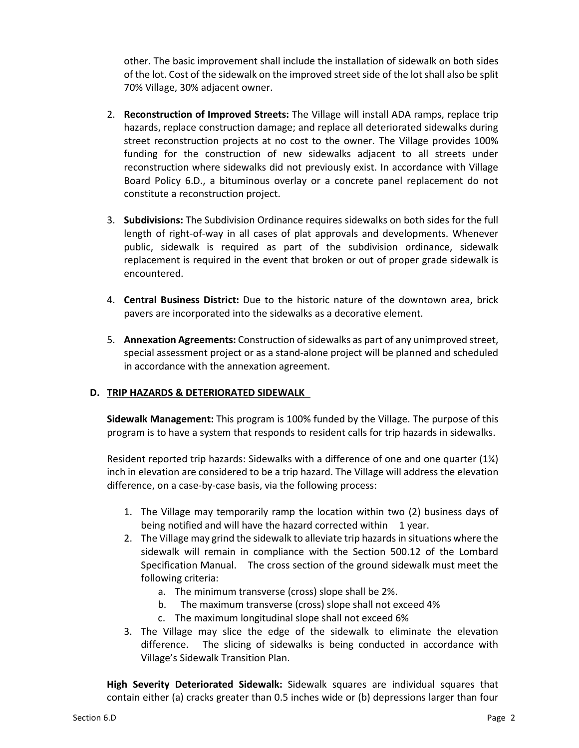other. The basic improvement shall include the installation of sidewalk on both sides of the lot. Cost of the sidewalk on the improved street side of the lot shall also be split 70% Village, 30% adjacent owner.

- 2. **Reconstruction of Improved Streets:** The Village will install ADA ramps, replace trip hazards, replace construction damage; and replace all deteriorated sidewalks during street reconstruction projects at no cost to the owner. The Village provides 100% funding for the construction of new sidewalks adjacent to all streets under reconstruction where sidewalks did not previously exist. In accordance with Village Board Policy 6.D., a bituminous overlay or a concrete panel replacement do not constitute a reconstruction project.
- 3. **Subdivisions:** The Subdivision Ordinance requires sidewalks on both sides for the full length of right-of-way in all cases of plat approvals and developments. Whenever public, sidewalk is required as part of the subdivision ordinance, sidewalk replacement is required in the event that broken or out of proper grade sidewalk is encountered.
- 4. **Central Business District:** Due to the historic nature of the downtown area, brick pavers are incorporated into the sidewalks as a decorative element.
- 5. **Annexation Agreements:** Construction of sidewalks as part of any unimproved street, special assessment project or as a stand-alone project will be planned and scheduled in accordance with the annexation agreement.

# **D. TRIP HAZARDS & DETERIORATED SIDEWALK**

**Sidewalk Management:** This program is 100% funded by the Village. The purpose of this program is to have a system that responds to resident calls for trip hazards in sidewalks.

Resident reported trip hazards: Sidewalks with a difference of one and one quarter (1¼) inch in elevation are considered to be a trip hazard. The Village will address the elevation difference, on a case-by-case basis, via the following process:

- 1. The Village may temporarily ramp the location within two (2) business days of being notified and will have the hazard corrected within 1 year.
- 2. The Village may grind the sidewalk to alleviate trip hazards in situations where the sidewalk will remain in compliance with the Section 500.12 of the Lombard Specification Manual. The cross section of the ground sidewalk must meet the following criteria:
	- a. The minimum transverse (cross) slope shall be 2%.
	- b. The maximum transverse (cross) slope shall not exceed 4%
	- c. The maximum longitudinal slope shall not exceed 6%
- 3. The Village may slice the edge of the sidewalk to eliminate the elevation difference. The slicing of sidewalks is being conducted in accordance with Village's Sidewalk Transition Plan.

**High Severity Deteriorated Sidewalk:** Sidewalk squares are individual squares that contain either (a) cracks greater than 0.5 inches wide or (b) depressions larger than four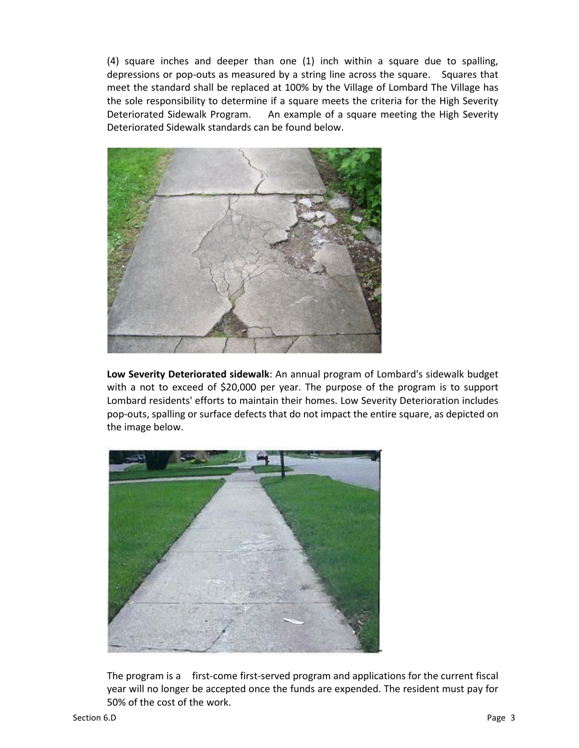(4) square inches and deeper than one (1) inch within a square due to spalling, depressions or pop-outs as measured by a string line across the square. Squares that meet the standard shall be replaced at 100% by the Village of Lombard The Village has the sole responsibility to determine if a square meets the criteria for the High Severity Deteriorated Sidewalk Program. An example of a square meeting the High Severity Deteriorated Sidewalk standards can be found below.



**Low Severity Deteriorated sidewalk**: An annual program of Lombard's sidewalk budget with a not to exceed of \$20,000 per year. The purpose of the program is to support Lombard residents' efforts to maintain their homes. Low Severity Deterioration includes pop-outs, spalling or surface defects that do not impact the entire square, as depicted on the image below.



The program is a first-come first-served program and applications for the current fiscal year will no longer be accepted once the funds are expended. The resident must pay for 50% of the cost of the work.